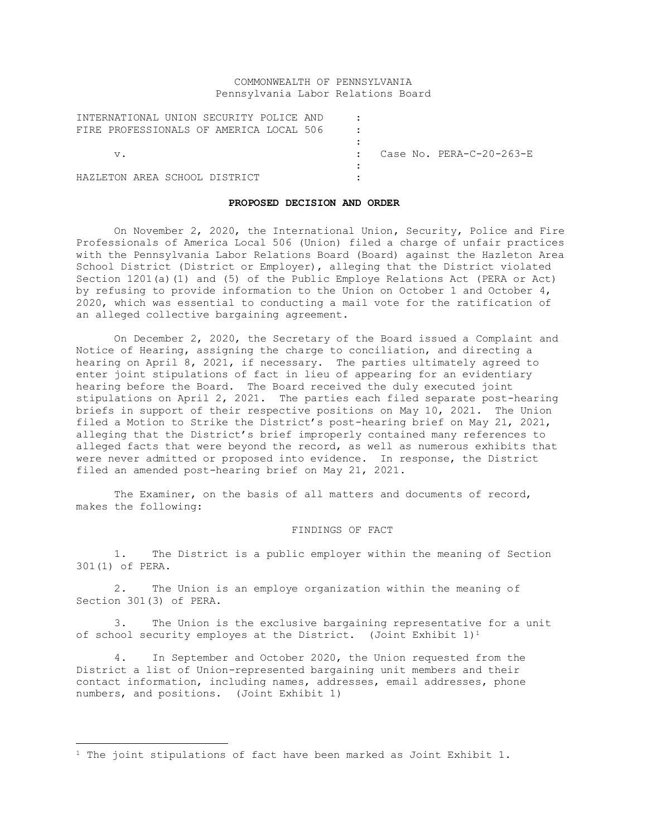# COMMONWEALTH OF PENNSYLVANIA Pennsylvania Labor Relations Board

| INTERNATIONAL UNION SECURITY POLICE AND |  |                          |
|-----------------------------------------|--|--------------------------|
| FIRE PROFESSIONALS OF AMERICA LOCAL 506 |  |                          |
|                                         |  |                          |
| V.                                      |  | Case No. PERA-C-20-263-E |
|                                         |  |                          |
| HAZLETON AREA SCHOOL DISTRICT           |  |                          |

## **PROPOSED DECISION AND ORDER**

On November 2, 2020, the International Union, Security, Police and Fire Professionals of America Local 506 (Union) filed a charge of unfair practices with the Pennsylvania Labor Relations Board (Board) against the Hazleton Area School District (District or Employer), alleging that the District violated Section 1201(a)(1) and (5) of the Public Employe Relations Act (PERA or Act) by refusing to provide information to the Union on October 1 and October 4, 2020, which was essential to conducting a mail vote for the ratification of an alleged collective bargaining agreement.

On December 2, 2020, the Secretary of the Board issued a Complaint and Notice of Hearing, assigning the charge to conciliation, and directing a hearing on April 8, 2021, if necessary. The parties ultimately agreed to enter joint stipulations of fact in lieu of appearing for an evidentiary hearing before the Board. The Board received the duly executed joint stipulations on April 2, 2021. The parties each filed separate post-hearing briefs in support of their respective positions on May 10, 2021. The Union filed a Motion to Strike the District's post-hearing brief on May 21, 2021, alleging that the District's brief improperly contained many references to alleged facts that were beyond the record, as well as numerous exhibits that were never admitted or proposed into evidence. In response, the District filed an amended post-hearing brief on May 21, 2021.

The Examiner, on the basis of all matters and documents of record, makes the following:

## FINDINGS OF FACT

1. The District is a public employer within the meaning of Section 301(1) of PERA.

2. The Union is an employe organization within the meaning of Section 301(3) of PERA.

3. The Union is the exclusive bargaining representative for a unit of school security employes at the District. (Joint Exhibit  $1)^1$ 

4. In September and October 2020, the Union requested from the District a list of Union-represented bargaining unit members and their contact information, including names, addresses, email addresses, phone numbers, and positions. (Joint Exhibit 1)

<sup>&</sup>lt;sup>1</sup> The joint stipulations of fact have been marked as Joint Exhibit 1.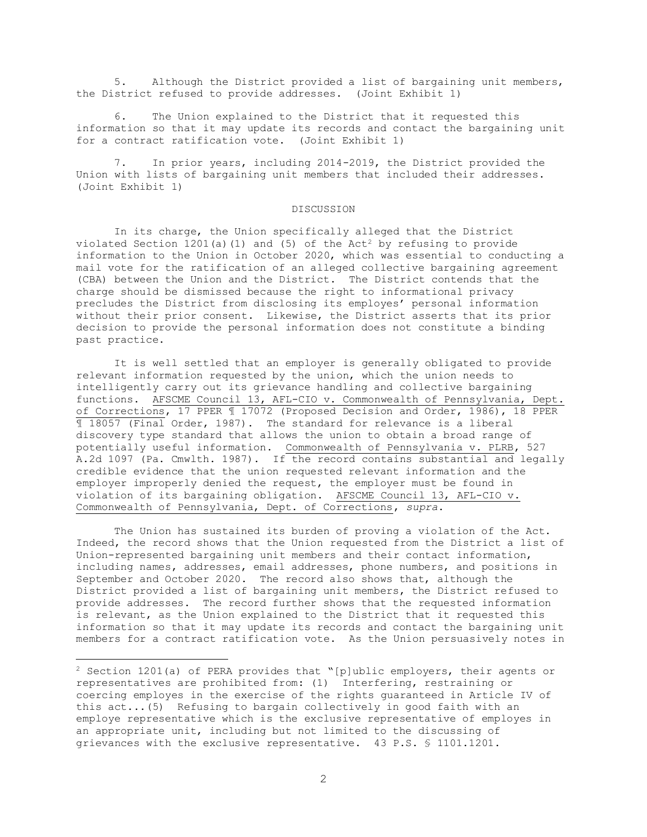5. Although the District provided a list of bargaining unit members, the District refused to provide addresses. (Joint Exhibit 1)

6. The Union explained to the District that it requested this information so that it may update its records and contact the bargaining unit for a contract ratification vote. (Joint Exhibit 1)

7. In prior years, including 2014-2019, the District provided the Union with lists of bargaining unit members that included their addresses. (Joint Exhibit 1)

## DISCUSSION

In its charge, the Union specifically alleged that the District violated Section 1201(a)(1) and (5) of the Act<sup>2</sup> by refusing to provide information to the Union in October 2020, which was essential to conducting a mail vote for the ratification of an alleged collective bargaining agreement (CBA) between the Union and the District. The District contends that the charge should be dismissed because the right to informational privacy precludes the District from disclosing its employes' personal information without their prior consent. Likewise, the District asserts that its prior decision to provide the personal information does not constitute a binding past practice.

It is well settled that an employer is generally obligated to provide relevant information requested by the union, which the union needs to intelligently carry out its grievance handling and collective bargaining functions. AFSCME Council 13, AFL-CIO v. Commonwealth of Pennsylvania, Dept. of Corrections, 17 PPER ¶ 17072 (Proposed Decision and Order, 1986), 18 PPER ¶ 18057 (Final Order, 1987). The standard for relevance is a liberal discovery type standard that allows the union to obtain a broad range of potentially useful information. Commonwealth of Pennsylvania v. PLRB, 527 A.2d 1097 (Pa. Cmwlth. 1987). If the record contains substantial and legally credible evidence that the union requested relevant information and the employer improperly denied the request, the employer must be found in violation of its bargaining obligation. AFSCME Council 13, AFL-CIO v. Commonwealth of Pennsylvania, Dept. of Corrections, *supra*.

The Union has sustained its burden of proving a violation of the Act. Indeed, the record shows that the Union requested from the District a list of Union-represented bargaining unit members and their contact information, including names, addresses, email addresses, phone numbers, and positions in September and October 2020. The record also shows that, although the District provided a list of bargaining unit members, the District refused to provide addresses. The record further shows that the requested information is relevant, as the Union explained to the District that it requested this information so that it may update its records and contact the bargaining unit members for a contract ratification vote. As the Union persuasively notes in

<sup>2</sup> Section 1201(a) of PERA provides that "[p]ublic employers, their agents or representatives are prohibited from: (1) Interfering, restraining or coercing employes in the exercise of the rights guaranteed in Article IV of this act...(5) Refusing to bargain collectively in good faith with an employe representative which is the exclusive representative of employes in an appropriate unit, including but not limited to the discussing of grievances with the exclusive representative. 43 P.S. § 1101.1201.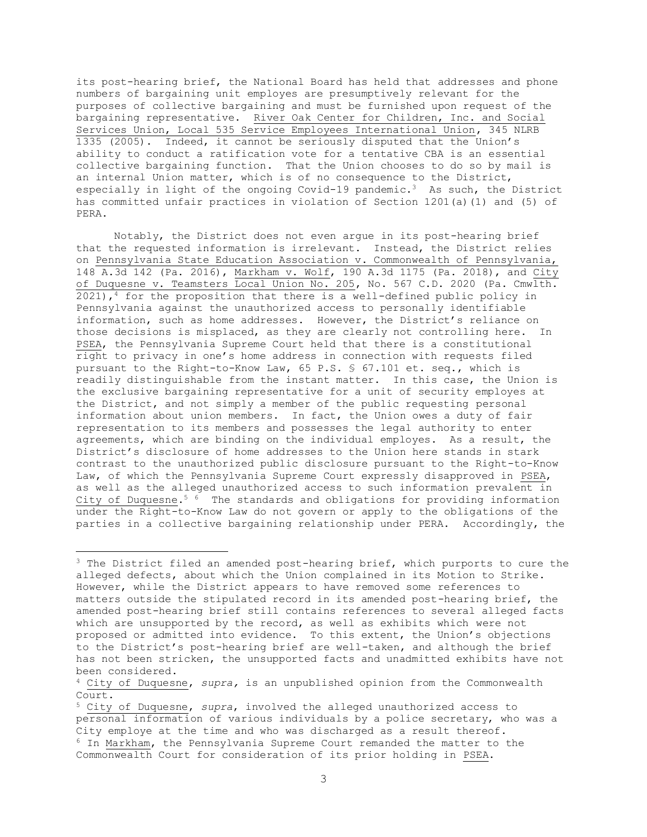its post-hearing brief, the National Board has held that addresses and phone numbers of bargaining unit employes are presumptively relevant for the purposes of collective bargaining and must be furnished upon request of the bargaining representative. River Oak Center for Children, Inc. and Social Services Union, Local 535 Service Employees International Union, 345 NLRB 1335 (2005). Indeed, it cannot be seriously disputed that the Union's ability to conduct a ratification vote for a tentative CBA is an essential collective bargaining function. That the Union chooses to do so by mail is an internal Union matter, which is of no consequence to the District, especially in light of the ongoing Covid-19 pandemic.3 As such, the District has committed unfair practices in violation of Section 1201(a)(1) and (5) of PERA.

Notably, the District does not even argue in its post-hearing brief that the requested information is irrelevant. Instead, the District relies on Pennsylvania State Education Association v. Commonwealth of Pennsylvania, 148 A.3d 142 (Pa. 2016), Markham v. Wolf, 190 A.3d 1175 (Pa. 2018), and City of Duquesne v. Teamsters Local Union No. 205, No. 567 C.D. 2020 (Pa. Cmwlth.  $2021$ , <sup>4</sup> for the proposition that there is a well-defined public policy in Pennsylvania against the unauthorized access to personally identifiable information, such as home addresses. However, the District's reliance on those decisions is misplaced, as they are clearly not controlling here. In PSEA, the Pennsylvania Supreme Court held that there is a constitutional right to privacy in one's home address in connection with requests filed pursuant to the Right-to-Know Law, 65 P.S. § 67.101 et. seq., which is readily distinguishable from the instant matter. In this case, the Union is the exclusive bargaining representative for a unit of security employes at the District, and not simply a member of the public requesting personal information about union members. In fact, the Union owes a duty of fair representation to its members and possesses the legal authority to enter agreements, which are binding on the individual employes. As a result, the District's disclosure of home addresses to the Union here stands in stark contrast to the unauthorized public disclosure pursuant to the Right-to-Know Law, of which the Pennsylvania Supreme Court expressly disapproved in PSEA, as well as the alleged unauthorized access to such information prevalent in City of Duquesne.<sup>5 6</sup> The standards and obligations for providing information under the Right-to-Know Law do not govern or apply to the obligations of the parties in a collective bargaining relationship under PERA. Accordingly, the

<sup>&</sup>lt;sup>3</sup> The District filed an amended post-hearing brief, which purports to cure the alleged defects, about which the Union complained in its Motion to Strike. However, while the District appears to have removed some references to matters outside the stipulated record in its amended post-hearing brief, the amended post-hearing brief still contains references to several alleged facts which are unsupported by the record, as well as exhibits which were not proposed or admitted into evidence. To this extent, the Union's objections to the District's post-hearing brief are well-taken, and although the brief has not been stricken, the unsupported facts and unadmitted exhibits have not been considered.

<sup>4</sup> City of Duquesne, *supra,* is an unpublished opinion from the Commonwealth Court.

<sup>5</sup> City of Duquesne, *supra*, involved the alleged unauthorized access to personal information of various individuals by a police secretary, who was a City employe at the time and who was discharged as a result thereof. <sup>6</sup> In Markham, the Pennsylvania Supreme Court remanded the matter to the Commonwealth Court for consideration of its prior holding in PSEA.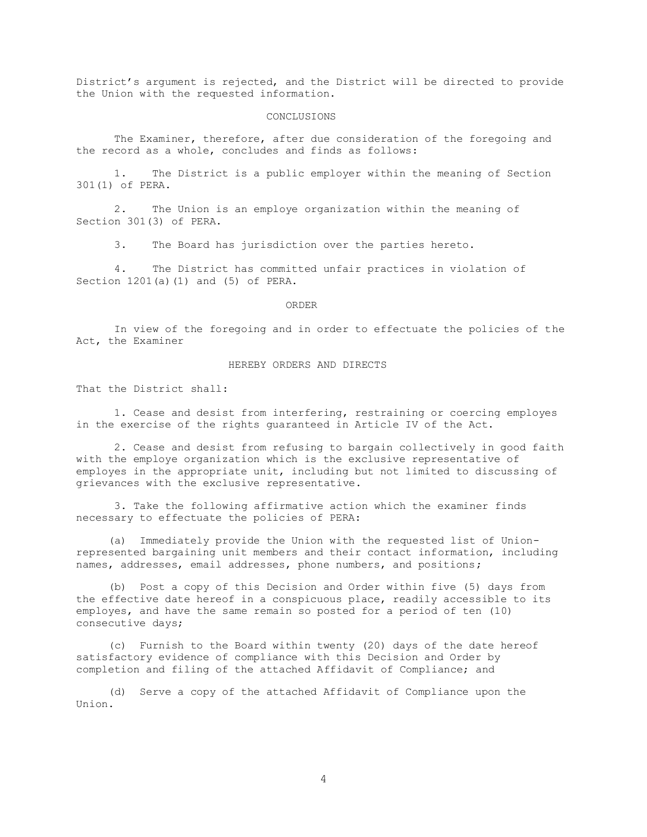District's argument is rejected, and the District will be directed to provide the Union with the requested information.

#### CONCLUSIONS

The Examiner, therefore, after due consideration of the foregoing and the record as a whole, concludes and finds as follows:

1. The District is a public employer within the meaning of Section 301(1) of PERA.

2. The Union is an employe organization within the meaning of Section 301(3) of PERA.

3. The Board has jurisdiction over the parties hereto.

4. The District has committed unfair practices in violation of Section 1201(a)(1) and (5) of PERA.

#### ORDER

In view of the foregoing and in order to effectuate the policies of the Act, the Examiner

## HEREBY ORDERS AND DIRECTS

That the District shall:

1. Cease and desist from interfering, restraining or coercing employes in the exercise of the rights guaranteed in Article IV of the Act.

2. Cease and desist from refusing to bargain collectively in good faith with the employe organization which is the exclusive representative of employes in the appropriate unit, including but not limited to discussing of grievances with the exclusive representative.

3. Take the following affirmative action which the examiner finds necessary to effectuate the policies of PERA:

 (a) Immediately provide the Union with the requested list of Unionrepresented bargaining unit members and their contact information, including names, addresses, email addresses, phone numbers, and positions;

 (b) Post a copy of this Decision and Order within five (5) days from the effective date hereof in a conspicuous place, readily accessible to its employes, and have the same remain so posted for a period of ten (10) consecutive days;

 (c) Furnish to the Board within twenty (20) days of the date hereof satisfactory evidence of compliance with this Decision and Order by completion and filing of the attached Affidavit of Compliance; and

 (d) Serve a copy of the attached Affidavit of Compliance upon the Union.

4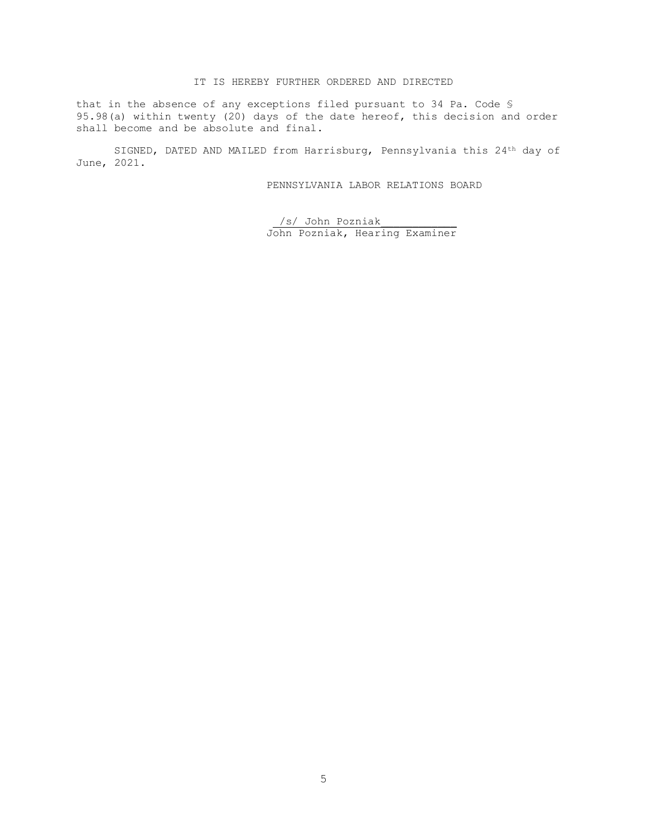# IT IS HEREBY FURTHER ORDERED AND DIRECTED

that in the absence of any exceptions filed pursuant to 34 Pa. Code § 95.98(a) within twenty (20) days of the date hereof, this decision and order shall become and be absolute and final.

SIGNED, DATED AND MAILED from Harrisburg, Pennsylvania this 24th day of June, 2021.

PENNSYLVANIA LABOR RELATIONS BOARD

/s/ John Pozniak\_\_\_\_\_\_\_\_\_\_\_\_ John Pozniak, Hearing Examiner